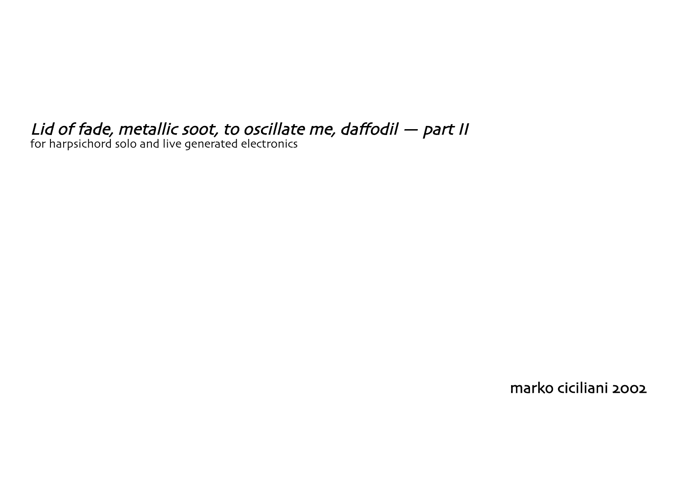## Lid of fade, metallic soot, to oscillate me, daffodil — part II

for harpsichord solo and live generated electronics

marko ciciliani 2002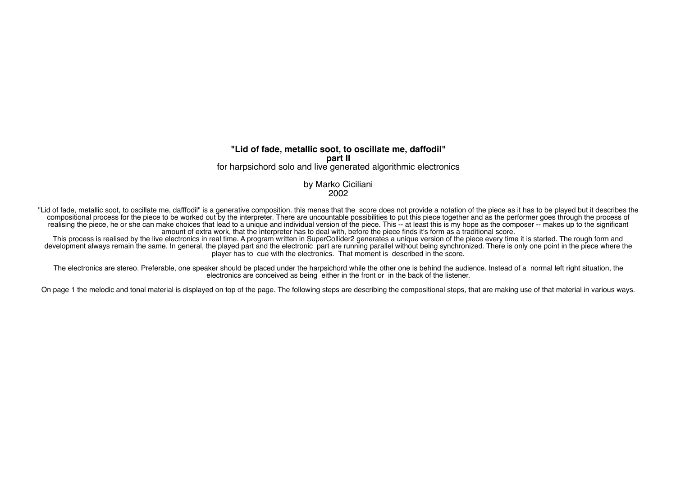## **"Lid of fade, metallic soot, to oscillate me, daffodil" part II** for harpsichord solo and live generated algorithmic electronics

## by Marko Ciciliani 2002

"Lid of fade, metallic soot, to oscillate me, dafffodil" is a generative composition. this menas that the score does not provide a notation of the piece as it has to be played but it describes the compositional process for the piece to be worked out by the interpreter. There are uncountable possibilities to put this piece together and as the performer goes through the process of realising the piece, he or she can make choices that lead to a unique and individual version of the piece. This -- at least this is my hope as the composer -- makes up to the significant amount of extra work, that the interpreter has to deal with, before the piece finds it's form as a traditional score.

This process is realised by the live electronics in real time. A program written in SuperCollider2 generates a unique version of the piece every time it is started. The rough form and development always remain the same. In general, the played part and the electronic part are running parallel without being synchronized. There is only one point in the piece where the player has to cue with the electronics. That moment is described in the score.

The electronics are stereo. Preferable, one speaker should be placed under the harpsichord while the other one is behind the audience. Instead of a normal left right situation, the electronics are conceived as being either in the front or in the back of the listener.

On page 1 the melodic and tonal material is displayed on top of the page. The following steps are describing the compositional steps, that are making use of that material in various ways.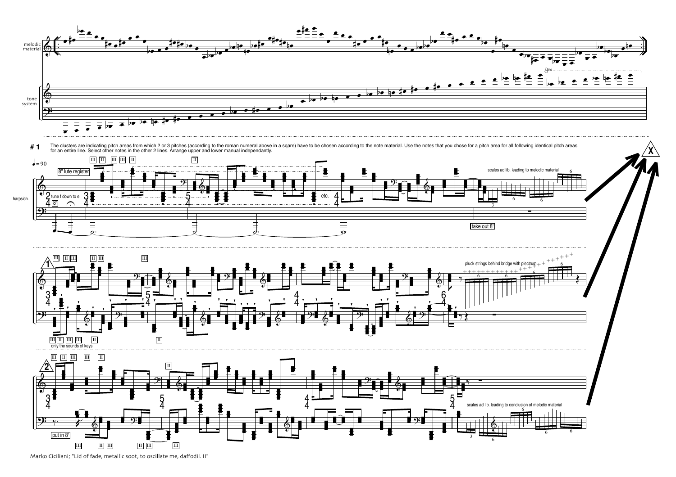

Marko Ciciliani; "Lid of fade, metallic soot, to oscillate me, daffodil. II"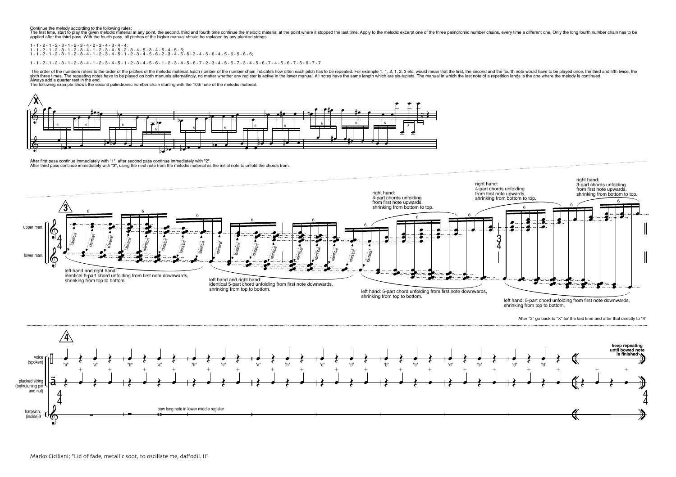Continue the melody according to the following rules:

The first time, start to play the fourth melocinc material at any point, the second, third and fourth time continue the melodic material at the point where it stopped the last time. Apply to the melodic excerpt one of the

1 - 1 - 2 - 1 - 2 - 3 - 1 - 2 - 3 - 4 - 2 - 3 - 4 - 3 - 4 - 4; 1 - 1 - 2 - 1 - 2 - 3 - 1 - 2 - 3 - 4 - 1 - 2 - 3 - 4 - 5 - 2 - 3 - 4 - 5 - 3 - 4 - 5 - 4 - 5 - 5;<br>1 - 1 - 2 - 1 - 2 - 3 - 1 - 2 - 3 - 4 - 1 - 2 - 3 - 4 - 5 - 1 - 2 - 3 - 4 - 5 - 6 - 2 - 3 - 4 - 5 - 6 - 3 - 4 - 5 - 6 - 4 -

1 - 1 - 2 - 3 - 3 - 1 - 2 - 3 - 4 - 1 - 2 - 3 - 4 - 5 - 1 - 2 - 3 - 4 - 5 - 6 - 1 - 2 - 3 - 4 - 5 - 6 - 7 - 2 - 3 - 4 - 5 - 6 - 7 - 3 - 4 - 5 - 6 - 7 - 4 - 5 - 6 - 7 - 7

The order of the numbers refers to the order of the pitches of the melodic material. Each number of the number of the number of the number of the number of the number of the number of the number of the number of the number sixth three times. The repeating offer the busines the product of the continued in the continued in the continued in the continued in the continued in the continued in the continued in the continued in the continued in the Always add a quarter rest in the end.

The following example shows the second palindromic number chain starting with the 10th note of the melodic material:



After first pass continue immediately with "1", after second pass continue immediately with "2".<br>After third pass continue immediately with "3", using the next note from the melodic material as the initial note to unfold t

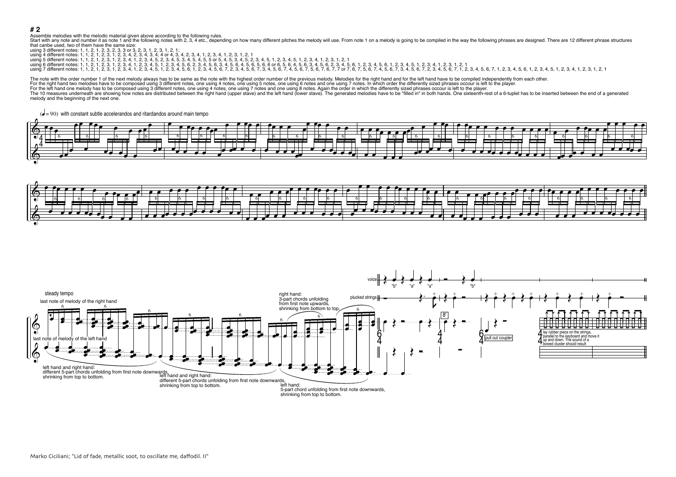## **# 2**

Assemble melodies with the melodic material given above according to the following rules.<br>Start with any note and number it as note 1 and the following notes with 2, 3, 4 etc., depending on how many different pitches the m that canbe used, two of them have the same size:

| using 3 different notes: 1, 1, 2, 1, 2, 3, 2, 3, 3 or 3, 2, 3, 1, 2, 3, 1, 2, 1;                                                                                                                                               |
|--------------------------------------------------------------------------------------------------------------------------------------------------------------------------------------------------------------------------------|
| using 4 different notes: 1, 1, 2, 1, 2, 3, 1, 2, 3, 4, 2, 3, 4, 3, 4, 4 or 4, 3, 4, 2, 3, 4, 1, 2, 3, 4, 1, 2, 3, 1, 2, 1                                                                                                      |
| using 5 different notes: 1, 1, 2, 1, 2, 3, 1, 2, 3, 4, 1, 2, 3, 4, 5, 2, 3, 4, 5, 3, 4, 5, 4, 5, 5 or 5, 4, 5, 3, 4, 5, 3, 4, 5, 1, 2, 3, 4, 5, 1, 2, 3, 4, 5, 1, 2, 3, 4, 1, 2, 3, 1, 2, 1                                    |
| using 6 different notes: 1, 1, 2, 1, 2, 3, 1, 2, 3, 4, 1, 2, 3, 4, 5, 1, 2, 3, 4, 5, 6, 2, 3, 4, 5, 6, 3, 4, 5, 6, 5, 6, 6, 6, 6, 6, 6, 8, 4, 5, 6, 2, 3, 4, 5, 6, 6, 1, 2, 3, 4, 5, 6, 1, 2, 3, 4, 5, 6, 6, 1, 2, 3, 4, 5, 1, |
| using 7 different notes: 1, 1, 2, 1, 2, 3, 1, 2, 3, 4, 1, 2, 3, 4, 5, 1, 2, 3, 4, 5, 6, 1, 2, 3, 4, 5, 6, 7, 2, 3, 4, 5, 6, 7, 8, 4, 5, 6, 7, 5, 6, 7, 7, 5, 6, 7, 2, 5, 6, 7, 4, 5, 6, 7, 3, 4, 5, 6, 7, 2, 3, 4, 5, 6, 7, 3, |

The note with the order number 1 of the next melody always has to be same as the note with the highest order number of the previous melody. Melodies for the right hand and for the left hand have to be compiled independentl For the right hand two melodies have to be composed using 3 different notes, one using 4 notes, one using 5 notes, one using 6 notes and one using 7 notes. In which order the differently sized phrases occour is left to the

For the left hand one melody has to be composed using 3 different notes, one using 4 notes, one using 7 notes and one using 8 notes. Again the order in which the differently sized phrases occour is left to the player.

The 10 measures underneath are showing how notes are distributed between the right hand (upper stave) and the left hand (lower stave). The generated melodies have to be "filled in" in both hands. One sixteenth-rest of a 6-

melody and the beginning of the next one.





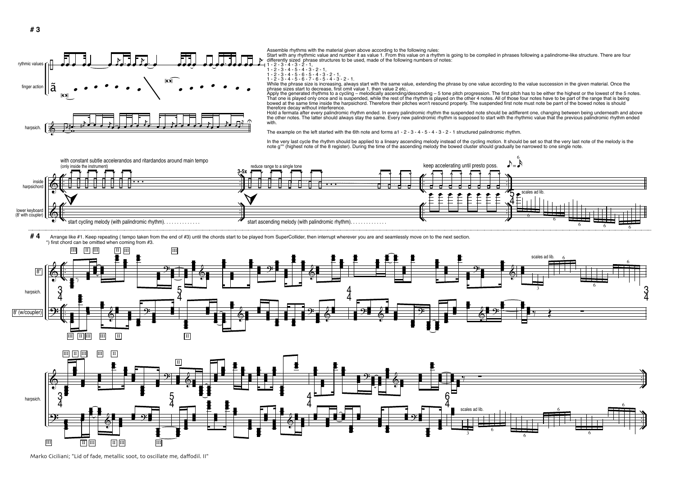

Assemble rhythms with the material given above according to the following rules:

Start with any rhythmic value and number it as value 1. From this value on a rhythm is going to be compiled in phrases following a palindrome-like structure. There are four differently sized phrase structures to be used, made of the following numbers of notes:<br> $1 - 2 - 3 - 4 - 3 - 2 - 1$ .

$$
1 - 2 - 3 - 4 - 3 - 2 - 1,
$$
  
1 - 2 - 3 - 4 - 5 - 4 - 3 - 2 - 1,

 $1 - 2 - 3 - 4 - 5 - 6 - 5 - 4 - 3 - 2 - 1,$ 

 $1 - 2 - 3 - 4 - 5 - 6 - 7 - 6 - 5 - 4 - 3 - 2 - 1$ .

While the phrase size is increasing, always start with the same value, extending the phrase by one value according to the value succession in the given material. Once the phrase sizes start to decrease, first omit value 1, then value 2 etc..

Apply the generated rhythms to a cycling – melodically ascending/descending – 5 tone pitch progression. The first pitch has to be either the highest or the lowest of the 5 notes.<br>That one is played only once and is suspend bowed at the same time inside the harpsichord. Therefore their pitches won't resound properly. The suspended first note must note be parrt of the bowed notes is should therefore decay without interference.

Hold a fermata after every palindromic rhythm ended. In every palindromic rhythm the suspended note should be adifferent one, changing between being underneath and above the other notes. The latter should always stay the same. Every new palindromic rhythm is supposed to start with the rhythmic value that the previous palindromic rhythm ended with.

The example on the left started with the 6th note and forms a1 - 2 - 3 - 4 - 5 - 4 - 3 - 2 - 1 structured palindromic rhythm.

In the very last cycle the rhythm should be applied to a lineary ascending melody instead of the cycling motion. It should be set so that the very last note of the melody is the<br>note g"" (highest note of the 8 register). D



#4 Arrange like #1. Keep repeating ( tempo taken from the end of #3) until the chords start to be played from SuperCollider, then interrupt wherever you are and seamlessly move on to the next section. \*) first chord can be omitted when coming from #3.





Marko Ciciliani; "Lid of fade, metallic soot, to oscillate me, daffodil. II"

 $\frac{1}{\Omega}$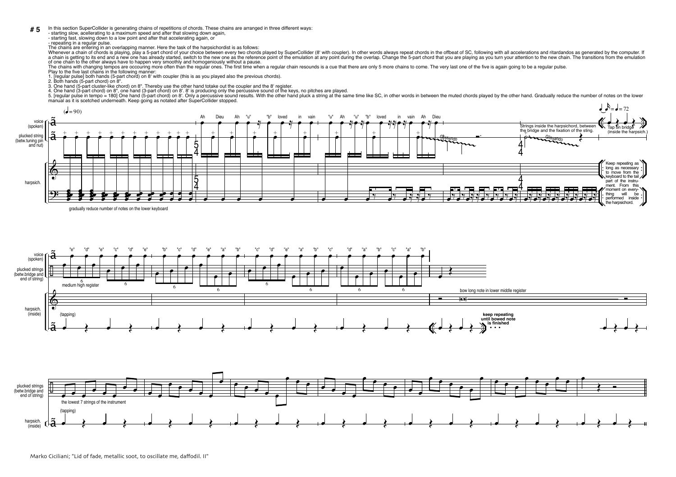In this section SuperCollider is generating chains of repetitions of chords. These chains are arranged in three different ways: **# 5**

- starting slow, acellerating to a maximum speed and after that slowing down again, - starting fast, slowing down to a low point and after that accelerating again, or

- repeating in a regular pulse.

The chains are entering in an overlapping manner. Here the task of the harpsichordist is as follows:

Whenever a chain of chords is playing, play a 5-part chord of your choice between every two chords played by SuperCollider (8' with coupler). In other words always repeat chords in the offbeat of SC, following with all acc a chain is getting to its end and a new one has already started, switch to the new one as the reference point of the emulation at any point during the overlap. Change the 5-part chord that you are playing as you turn your of one chain to the other always have to happen very smoothly and homogeniously without a pause.

The chains with changing tempos are occouring more often than the regular ones. The first time when a regular chain resounds is a cue that there are only 5 more chains to come. The very last one of the five is again going

Play to the five last chains in the following manner:

1. [regular pulse] both hands (5-part chord) on 8' with coupler (this is as you played also the previous chords).

2. Both hands (5-part chord) on 8".

3. One hand (5-part cluster-like chord) on 8". Thereby use the other hand totake out the coupler and the 8' register.<br>4. One hand (3-part chord) on 8", one hand (3-part chord) on 8". Only a percussive sound or the keres, w



gradually reduce number of notes on the lower keyboard

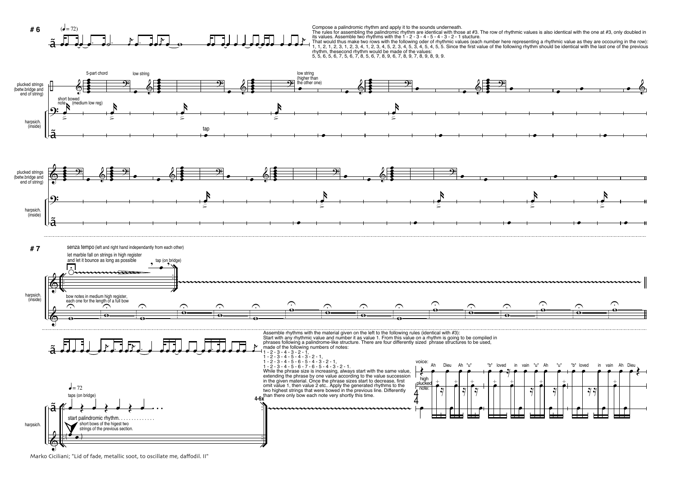

Compose a palindromic rhythm and apply it to the sounds underneath.<br>The rules for assembling the palindromic rhythm are identical with those at #3. The row of rhythmic values is also identical with the one at #3, only doub its values. Assemble two rhythms with the 1 - 2 - 3 - 4 - 5 - 4 - 3 - 2 - 1 stucture.

That would thus make two rows with the following oder of rhythmic values (each number here representing a rhythmic value as they are occouring in the row):<br>1, 1, 2, 1, 2, 3, 1, 2, 3, 4, 1, 2, 3, 4, 5, 2, 3, 4, 5, 3, 4, 5, rhythm, thesecond rhythm would be made of the values: 5, 5, 6, 5, 6, 7, 5, 6, 7, 8, 5, 6, 7, 8, 9, 6, 7, 8, 9, 7, 8, 9, 8, 9, 9.



Marko Ciciliani; "Lid of fade, metallic soot, to oscillate me, daffodil. II"